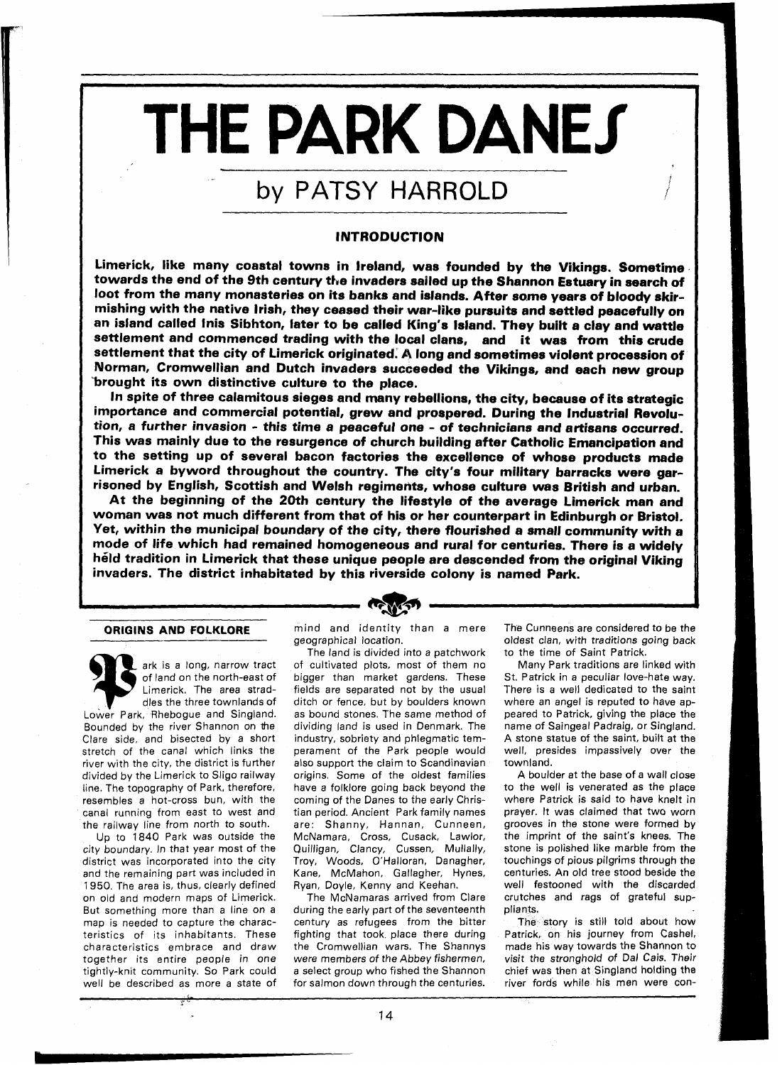# THE PARK DANES

# by PATSY HARROLD

## INTRODUCTION

Limerick, like many coastal towns in Ireland, was founded by the Vikings. Sometime towards the end of the 9th century the invaders sailed up the Shannon Estuary in search of loot from the many monasteries on its banks and islands. After some years of bloody skirmishing with the native Irish, they ceased their war-like pursuits and settled peacefully on an island called lnis Sibhton, later to be called King's Island. They built a clay and wattle settlement and commenced trading with the local clans, and it was from this crude settlement that the city of Limerick originated. A long and sometimes violent procession of Norman, Cromwellian and Dutch invaders succeeded the Vikings, and each new group brought its own distinctive culture to the place.

In spite of three calamitous sieges and many rebellions, the city, because of its strategic importance and commercial potential, grew and prospered. During the Industrial Revolution, a further invasion - this time a peaceful one - of technicians and artisans occurred. This was mainly due to the resurgence of church building after Catholic Emancipation and to the setting up of several bacon factories the excellence of whose products made Limerick a byword throughout the country. The city's four military barracks were garrisoned by English, Scottish and Welsh regiments, whose culture was British and urban.

At the beginning of the 20th century the lifestyle of the average Limerick man and woman was not much different from that of his or her counterpart in Edinburgh or Bristol. Yet, within the municipal boundary of the city, there flourished a small community with a mode of life which had remained homogeneous and rural for centuries. There is a widely held tradition in Limerick that these unique people are descended from the original Viking invaders. The district inhabitated by this riverside colony is named Park.

### **ORIGINS AND FOLKLORE**

ark is a long, narrow tract of land on the north-east of Limerick. The area straddles the three townlands of Lower Park, Rhebogue and Singland. Bounded by the river Shannon on the Clare side, and bisected by a short stretch of the canal which links the river with the city, the district is further divided by the Limerick to Sligo railway line. The topography of Park, therefore. resembles a hot-cross bun, with the canal running from east to west and the railway line from north to south.

Up to 1840 Park was outside the city boundary. In that year most of the district was incorporated into the city and the remaining part was included in 1950. The area is, thus, clearly defined on old and modern maps of Limerick. But something more than a line on a map is needed to capture the characteristics of its inhabitants. These characteristics embrace and draw together its entire people in one tightly-knit community. SO Park could well be described as more a state of mind and identity than a mere geographical location.

The land is divided into a patchwork of cultivated plots, most of them no bigger than market gardens. These fields are separated not by the usual ditch or fence, but by boulders known as bound stones. The same method of dividing land is used in Denmark. The industry, sobriety and phlegmatic temperament of the Park people would also support the claim to Scandinavian origins. Some of the oldest families have a folklore going back beyond the coming of the Danes to the early Christian period. Ancient Park family names are: Shanny, Hannan, Cunneen, McNarnara, Cross, Cusack, Lawlor, Quilligan, Clancy, Cussen, Mullally, Troy, Woods, O'Halloran, Danagher, Kane, McMahon, Gallagher, Hynes, Ryan, Doyle, Kenny and Keehan.

The McNamaras arrived from Clare during the early part of the seventeenth century as refugees from the bitter fighting that took place there during the Cromwellian wars. The Shannys were members of the Abbey fishermen. a select group who fished the Shannon for salmon down through the centuries.

The Cunneens are considered to be the oldest clan, with traditions going back to the time of Saint Patrick.

Many Park traditions are linked with St. Patrick in a peculiar love-hate way. There is a well dedicated to the saint where an angel is reputed to have appeared to Patrick, giving the place the name of Saingeal Padraig, or Singland. A stone statue of the saint, built at the well, presides impassively over the townland.

A boulder at the base of a wall close to the well is venerated as the place where Patrick is said to have knelt in prayer. It was claimed that two worn grooves in the stone were formed by the imprint of the saint's knees. The stone is polished like marble from the touchings of pious pilgrims through the centuries. An old tree stood beside the well festooned with the discarded crutches and rags of grateful suppliants.

The story is still told about how Patrick, on his journey from Cashel, made his way towards the Shannon to visit the stronghold of Dal Cais. Their chief was then at Singland holding the river fords while his men were con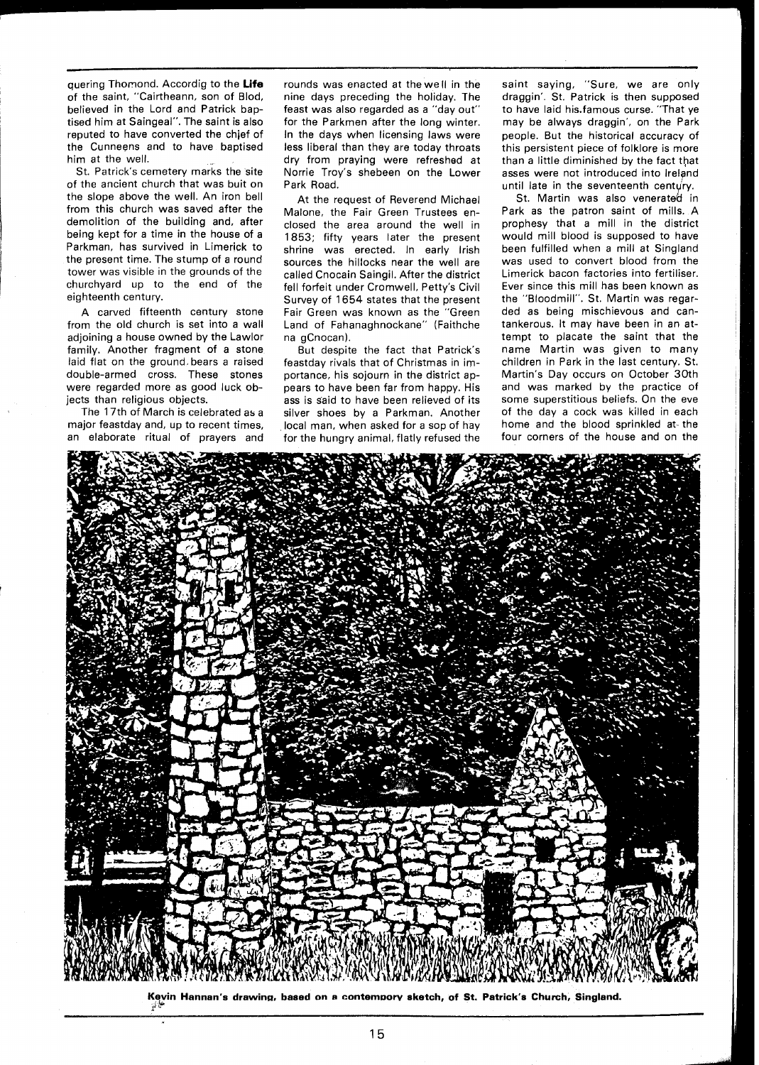quering Thomond. Accordig to the **Life**  of the saint, "Cairtheann, son of Blod, believed in the Lord and Patrick baptised him at Saingeal". The saint is also reputed to have converted the chief of the Cunneens and to have baptised him at the well.

St. Patrick's cemetery marks the site of the ancient church that was buit on the slope above the well. An iron bell from this church was saved after the demolition of the building and, after being kept for a time in the house of a Parkman, has survived in Limerick to the present time. The stump of a round tower was visible in the grounds of the churchyard up to the end of the eighteenth century.

A carved fifteenth century stone from the old church is set into a wall adjoining a house owned by the Lawlor family. Another fragment of a stone laid flat on the ground, bears a raised double-armed cross. These stones were regarded more as good luck objects than religious objects.

The 17th of March is celebrated as a major feastday and, up to recent times, an elaborate ritual of prayers and rounds was enacted at the we II in the nine days preceding the holiday. The feast was also regarded as a "day out" for the Parkmen after the long winter. In the days when licensing laws were less liberal than they are today throats dry from praying were refreshed at Norrie Troy's shebeen on the Lower Park Road.

At the request of Reverend Michael Malone, the Fair Green Trustees enclosed the area around the well in 1853; fifty years later the present shrine was erected. In early Irish sources the hillocks near the well are called Cnocain Saingil. After the district fell forfeit under Cromwell, Petty's Civil Survey of 1654 states that the present Fair Green was known as the "Green Land of Fahanaghnockane" (Faithche na gCnocan).

But despite the fact that Patrick's feastday rivals that of Christmas in importance, his sojourn in the district appears to have been far from happy. His ass is Said to have been relieved of its silver shoes by a Parkman. Another local man, when asked for a sop of hay for the hungry animal, flatly refused the

saint saying, "Sure, we are only draggin'. St. Patrick is then supposed to have laid his.famous curse. "That ye may be always draggin', on the Park people. But the historical accuracy of this persistent piece of folklore is more than a little diminished by the fact that asses were not introduced into lrelgnd until late in the seventeenth century.

St. Martin was also venerated in Park as the patron saint of mills. A prophesy that a mill in the district would mill blood is supposed to have been fulfilled when a mill at Singland was used to convert blood from the Limerick bacon factories into fertiliser. Ever since this mill has been known as the "Bloodmill". St. Martin was regarded as being mischievous and cantankerous. It may have been in an attempt to placate the saint that the name Martin was given to many children in Park in the last century. St. Martin's Day occurs on October 30th and was marked by the practice of some superstitious beliefs. On the eve of the day a cock was killed in each home and the blood sprinkled at the four corners of the house and on the



Kevin Hannan's drawing, based on a contempory sketch, of St. Patrick's Church, Singland.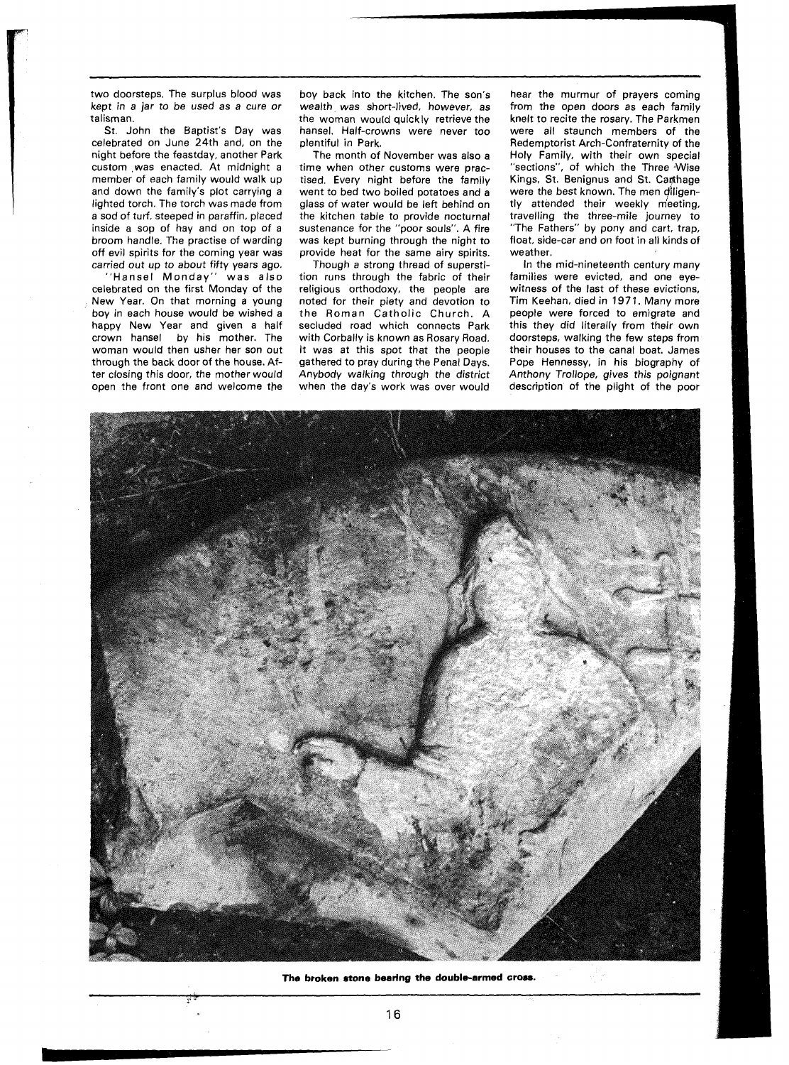two doorsteps. The surplus blood was kept in a jar to be used as a cure or talisman.

St. John the Baptist's Day was celebrated on June 24th and, on the night before the feastday, another Park custom ,was enacted. At midnight a member of each family would walk up and down the family's plot carrying a lighted torch. The torch was made from a sod of turf, steeped in paraffin, placed inside a sop of hay and on top of a broom handle. The practise of warding off evil spirits for the coming year was carried out up to about fifty years ago.

Hansel Monday" was also celebrated on the first Monday of the New Year. On that morning a young boy in each house would be wished a happy New Year and given a half crown hansel by his mother. The woman would then usher her son out through the back door of the house. After closing this door, the mother would open the front one and welcome the

rl

boy back into the kitchen. The son's wealth was short-lived, however, as the woman would quickly retrieve the hansel. Half-crowns were never too plentiful in Park.

The month of November was also a time when other customs were practised. Every night before the family went to bed two boiled potatoes and a glass of water would be left behind on the kitchen table to provide nocturnal sustenance for the "poor souls". A fire was kept burning through the night to provide heat for the same airy spirits.

Though a strong thread of superstition runs through the fabric of their religious orthodoxy, the people are noted for their piety and devotion to the Roman Catholic Church. A secluded road which connects Park with Corbally is known as Rosary Road. It was at this spot that the people gathered to pray during the Penal Days. Anybody walking through the district when the day's work was over would

hear the murmur of prayers coming from the open doors as each family knelt to recite the rosary. The Parkmen were all staunch members of the Redemptorist Arch-Confraternity of the Holy Family, with their own special "sections", of which the Three Wise Kings, St. Benignus and St. Carthage were the best known. The men diligently attended their weekly meeting, travelling the three-mile journey to "The Fathers" by pony and cart, trap, float, side-car and on foot in all kinds of weather.

In the mid-nineteenth century many families were evicted, and one eyewitness of the last of these evictions, Tim Keehan. died in 197 1. Many more people were forced to emigrate and this they did literally from their own doorsteps, walking the few steps from their houses to the canal boat. James Pope Hennessy, in his biography of Anthony Trollope, gives this poignant description of the plight of the poor



**The broken atone beering the double-armed cross.**